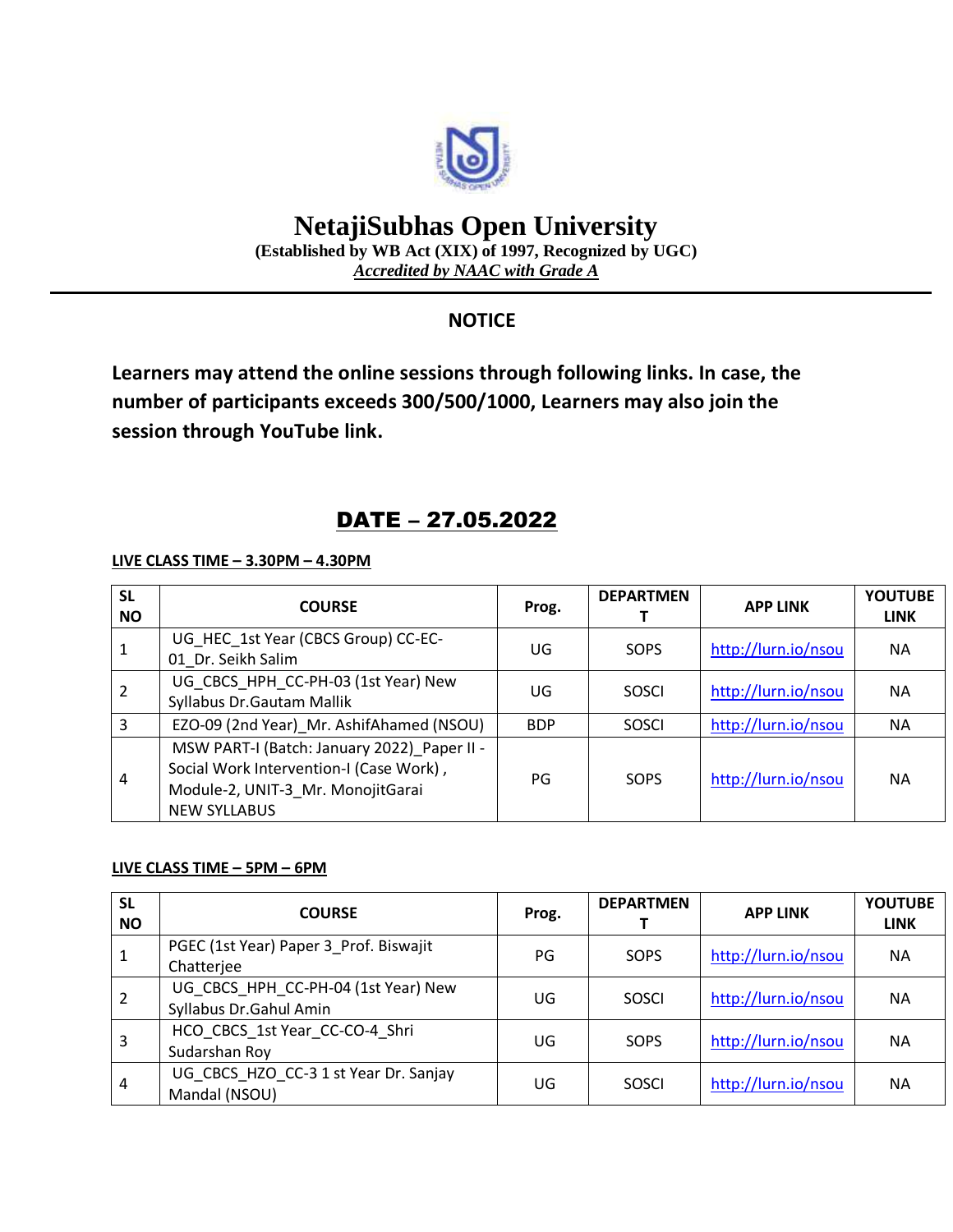

# **NetajiSubhas Open University**

**(Established by WB Act (XIX) of 1997, Recognized by UGC)** *Accredited by NAAC with Grade A*

### **NOTICE**

**Learners may attend the online sessions through following links. In case, the number of participants exceeds 300/500/1000, Learners may also join the session through YouTube link.**

## DATE – 27.05.2022

**LIVE CLASS TIME – 3.30PM – 4.30PM**

| <b>SL</b><br><b>NO</b> | <b>COURSE</b>                                                                                                                                      | Prog.      | <b>DEPARTMEN</b> | <b>APP LINK</b>     | <b>YOUTUBE</b><br><b>LINK</b> |
|------------------------|----------------------------------------------------------------------------------------------------------------------------------------------------|------------|------------------|---------------------|-------------------------------|
| 1                      | UG HEC 1st Year (CBCS Group) CC-EC-<br>01 Dr. Seikh Salim                                                                                          | UG         | SOPS             | http://lurn.io/nsou | <b>NA</b>                     |
|                        | UG_CBCS_HPH_CC-PH-03 (1st Year) New<br>Syllabus Dr. Gautam Mallik                                                                                  | UG         | SOSCI            | http://lurn.io/nsou | <b>NA</b>                     |
| 3                      | EZO-09 (2nd Year) Mr. AshifAhamed (NSOU)                                                                                                           | <b>BDP</b> | SOSCI            | http://lurn.io/nsou | ΝA                            |
| 4                      | MSW PART-I (Batch: January 2022)_Paper II -<br>Social Work Intervention-I (Case Work),<br>Module-2, UNIT-3_Mr. MonojitGarai<br><b>NEW SYLLABUS</b> | PG         | SOPS             | http://lurn.io/nsou | <b>NA</b>                     |

#### **LIVE CLASS TIME – 5PM – 6PM**

| <b>SL</b><br><b>NO</b> | <b>COURSE</b>                                                 | Prog. | <b>DEPARTMEN</b> | <b>APP LINK</b>     | <b>YOUTUBE</b><br><b>LINK</b> |
|------------------------|---------------------------------------------------------------|-------|------------------|---------------------|-------------------------------|
|                        | PGEC (1st Year) Paper 3_Prof. Biswajit<br>Chatterjee          | PG    | SOPS             | http://lurn.io/nsou | <b>NA</b>                     |
|                        | UG_CBCS_HPH_CC-PH-04 (1st Year) New<br>Syllabus Dr.Gahul Amin | UG    | SOSCI            | http://lurn.io/nsou | NА                            |
| 3                      | HCO CBCS_1st Year_CC-CO-4_Shri<br>Sudarshan Roy               | UG    | SOPS             | http://lurn.io/nsou | ΝA                            |
| 4                      | UG CBCS HZO CC-3 1 st Year Dr. Sanjay<br>Mandal (NSOU)        | UG    | <b>SOSCI</b>     | http://lurn.io/nsou | NА                            |